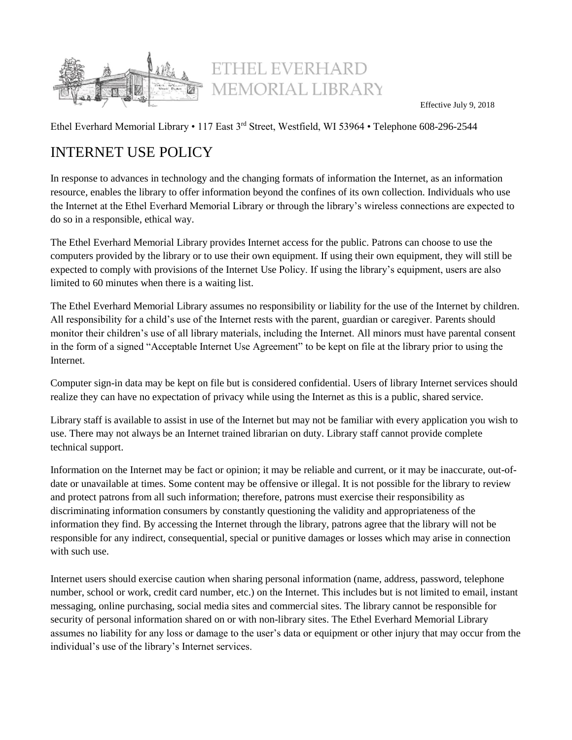

Effective July 9, 2018

Ethel Everhard Memorial Library • 117 East 3rd Street, Westfield, WI 53964 • Telephone 608-296-2544

# INTERNET USE POLICY

In response to advances in technology and the changing formats of information the Internet, as an information resource, enables the library to offer information beyond the confines of its own collection. Individuals who use the Internet at the Ethel Everhard Memorial Library or through the library's wireless connections are expected to do so in a responsible, ethical way.

The Ethel Everhard Memorial Library provides Internet access for the public. Patrons can choose to use the computers provided by the library or to use their own equipment. If using their own equipment, they will still be expected to comply with provisions of the Internet Use Policy. If using the library's equipment, users are also limited to 60 minutes when there is a waiting list.

The Ethel Everhard Memorial Library assumes no responsibility or liability for the use of the Internet by children. All responsibility for a child's use of the Internet rests with the parent, guardian or caregiver. Parents should monitor their children's use of all library materials, including the Internet. All minors must have parental consent in the form of a signed "Acceptable Internet Use Agreement" to be kept on file at the library prior to using the Internet.

Computer sign-in data may be kept on file but is considered confidential. Users of library Internet services should realize they can have no expectation of privacy while using the Internet as this is a public, shared service.

Library staff is available to assist in use of the Internet but may not be familiar with every application you wish to use. There may not always be an Internet trained librarian on duty. Library staff cannot provide complete technical support.

Information on the Internet may be fact or opinion; it may be reliable and current, or it may be inaccurate, out-ofdate or unavailable at times. Some content may be offensive or illegal. It is not possible for the library to review and protect patrons from all such information; therefore, patrons must exercise their responsibility as discriminating information consumers by constantly questioning the validity and appropriateness of the information they find. By accessing the Internet through the library, patrons agree that the library will not be responsible for any indirect, consequential, special or punitive damages or losses which may arise in connection with such use.

Internet users should exercise caution when sharing personal information (name, address, password, telephone number, school or work, credit card number, etc.) on the Internet. This includes but is not limited to email, instant messaging, online purchasing, social media sites and commercial sites. The library cannot be responsible for security of personal information shared on or with non-library sites. The Ethel Everhard Memorial Library assumes no liability for any loss or damage to the user's data or equipment or other injury that may occur from the individual's use of the library's Internet services.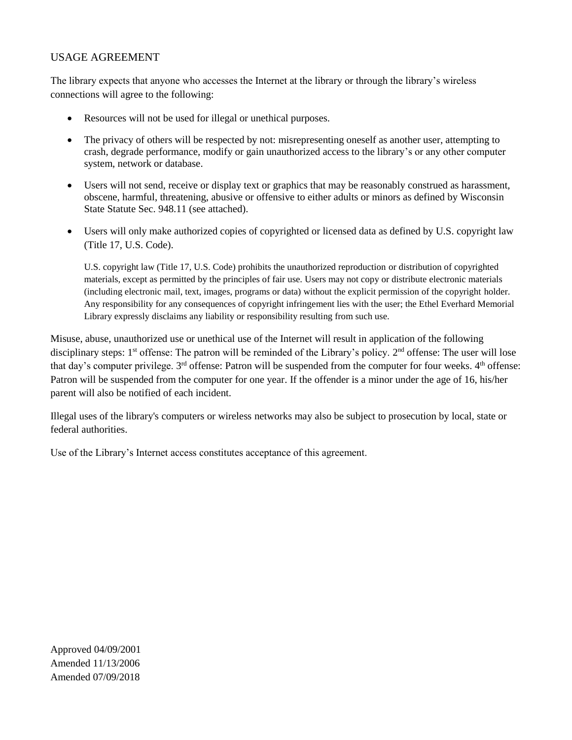### USAGE AGREEMENT

The library expects that anyone who accesses the Internet at the library or through the library's wireless connections will agree to the following:

- Resources will not be used for illegal or unethical purposes.
- The privacy of others will be respected by not: misrepresenting oneself as another user, attempting to crash, degrade performance, modify or gain unauthorized access to the library's or any other computer system, network or database.
- Users will not send, receive or display text or graphics that may be reasonably construed as harassment, obscene, harmful, threatening, abusive or offensive to either adults or minors as defined by Wisconsin State Statute Sec. 948.11 (see attached).
- Users will only make authorized copies of copyrighted or licensed data as defined by U.S. copyright law (Title 17, U.S. Code).

U.S. copyright law (Title 17, U.S. Code) prohibits the unauthorized reproduction or distribution of copyrighted materials, except as permitted by the principles of fair use. Users may not copy or distribute electronic materials (including electronic mail, text, images, programs or data) without the explicit permission of the copyright holder. Any responsibility for any consequences of copyright infringement lies with the user; the Ethel Everhard Memorial Library expressly disclaims any liability or responsibility resulting from such use.

Misuse, abuse, unauthorized use or unethical use of the Internet will result in application of the following disciplinary steps: 1<sup>st</sup> offense: The patron will be reminded of the Library's policy. 2<sup>nd</sup> offense: The user will lose that day's computer privilege. 3<sup>rd</sup> offense: Patron will be suspended from the computer for four weeks. 4<sup>th</sup> offense: Patron will be suspended from the computer for one year. If the offender is a minor under the age of 16, his/her parent will also be notified of each incident.

Illegal uses of the library's computers or wireless networks may also be subject to prosecution by local, state or federal authorities.

Use of the Library's Internet access constitutes acceptance of this agreement.

Approved 04/09/2001 Amended 11/13/2006 Amended 07/09/2018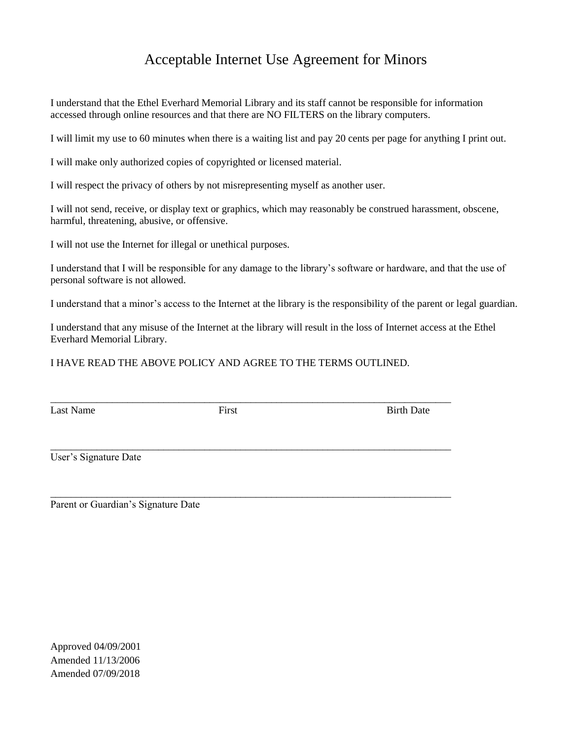## Acceptable Internet Use Agreement for Minors

I understand that the Ethel Everhard Memorial Library and its staff cannot be responsible for information accessed through online resources and that there are NO FILTERS on the library computers.

I will limit my use to 60 minutes when there is a waiting list and pay 20 cents per page for anything I print out.

I will make only authorized copies of copyrighted or licensed material.

I will respect the privacy of others by not misrepresenting myself as another user.

I will not send, receive, or display text or graphics, which may reasonably be construed harassment, obscene, harmful, threatening, abusive, or offensive.

I will not use the Internet for illegal or unethical purposes.

I understand that I will be responsible for any damage to the library's software or hardware, and that the use of personal software is not allowed.

I understand that a minor's access to the Internet at the library is the responsibility of the parent or legal guardian.

I understand that any misuse of the Internet at the library will result in the loss of Internet access at the Ethel Everhard Memorial Library.

I HAVE READ THE ABOVE POLICY AND AGREE TO THE TERMS OUTLINED.

Last Name First First Birth Date

\_\_\_\_\_\_\_\_\_\_\_\_\_\_\_\_\_\_\_\_\_\_\_\_\_\_\_\_\_\_\_\_\_\_\_\_\_\_\_\_\_\_\_\_\_\_\_\_\_\_\_\_\_\_\_\_\_\_\_\_\_\_\_\_\_\_\_\_\_\_\_\_\_\_\_\_\_\_

\_\_\_\_\_\_\_\_\_\_\_\_\_\_\_\_\_\_\_\_\_\_\_\_\_\_\_\_\_\_\_\_\_\_\_\_\_\_\_\_\_\_\_\_\_\_\_\_\_\_\_\_\_\_\_\_\_\_\_\_\_\_\_\_\_\_\_\_\_\_\_\_\_\_\_\_\_\_

User's Signature Date

\_\_\_\_\_\_\_\_\_\_\_\_\_\_\_\_\_\_\_\_\_\_\_\_\_\_\_\_\_\_\_\_\_\_\_\_\_\_\_\_\_\_\_\_\_\_\_\_\_\_\_\_\_\_\_\_\_\_\_\_\_\_\_\_\_\_\_\_\_\_\_\_\_\_\_\_\_\_ Parent or Guardian's Signature Date

Approved 04/09/2001 Amended 11/13/2006 Amended 07/09/2018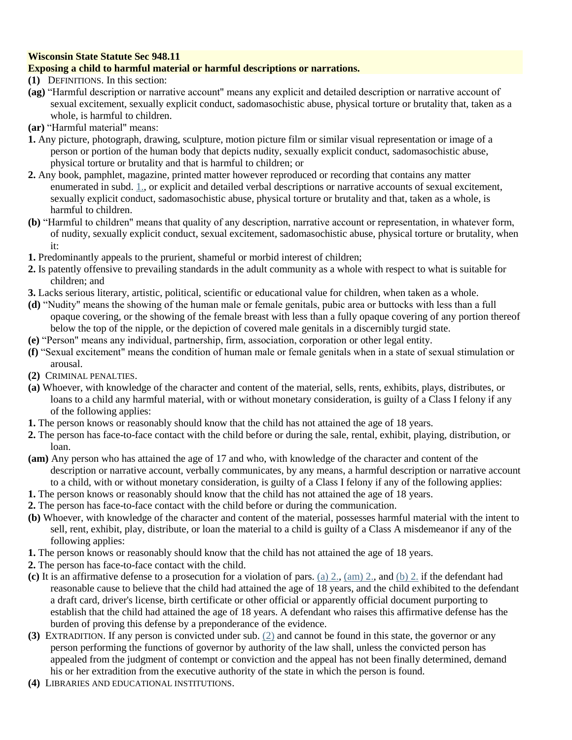### **Wisconsin State Statute Sec 948.11**

### **Exposing a child to harmful material or harmful descriptions or narrations.**

- **(1)** DEFINITIONS. In this section:
- **(ag)** "Harmful description or narrative account" means any explicit and detailed description or narrative account of sexual excitement, sexually explicit conduct, sadomasochistic abuse, physical torture or brutality that, taken as a whole, is harmful to children.
- **(ar)** "Harmful material" means:
- **1.** Any picture, photograph, drawing, sculpture, motion picture film or similar visual representation or image of a person or portion of the human body that depicts nudity, sexually explicit conduct, sadomasochistic abuse, physical torture or brutality and that is harmful to children; or
- **2.** Any book, pamphlet, magazine, printed matter however reproduced or recording that contains any matter enumerated in subd. [1.,](https://docs.legis.wisconsin.gov/document/statutes/948.11(1)(ar)1.) or explicit and detailed verbal descriptions or narrative accounts of sexual excitement, sexually explicit conduct, sadomasochistic abuse, physical torture or brutality and that, taken as a whole, is harmful to children.
- **(b)** "Harmful to children" means that quality of any description, narrative account or representation, in whatever form, of nudity, sexually explicit conduct, sexual excitement, sadomasochistic abuse, physical torture or brutality, when it:
- **1.** Predominantly appeals to the prurient, shameful or morbid interest of children;
- **2.** Is patently offensive to prevailing standards in the adult community as a whole with respect to what is suitable for children; and
- **3.** Lacks serious literary, artistic, political, scientific or educational value for children, when taken as a whole.
- **(d)** "Nudity" means the showing of the human male or female genitals, pubic area or buttocks with less than a full opaque covering, or the showing of the female breast with less than a fully opaque covering of any portion thereof below the top of the nipple, or the depiction of covered male genitals in a discernibly turgid state.
- **(e)** "Person" means any individual, partnership, firm, association, corporation or other legal entity.
- **(f)** "Sexual excitement" means the condition of human male or female genitals when in a state of sexual stimulation or arousal.
- **(2)** CRIMINAL PENALTIES.
- **(a)** Whoever, with knowledge of the character and content of the material, sells, rents, exhibits, plays, distributes, or loans to a child any harmful material, with or without monetary consideration, is guilty of a Class I felony if any of the following applies:
- **1.** The person knows or reasonably should know that the child has not attained the age of 18 years.
- **2.** The person has face-to-face contact with the child before or during the sale, rental, exhibit, playing, distribution, or loan.
- **(am)** Any person who has attained the age of 17 and who, with knowledge of the character and content of the description or narrative account, verbally communicates, by any means, a harmful description or narrative account to a child, with or without monetary consideration, is guilty of a Class I felony if any of the following applies:
- **1.** The person knows or reasonably should know that the child has not attained the age of 18 years.
- **2.** The person has face-to-face contact with the child before or during the communication.
- **(b)** Whoever, with knowledge of the character and content of the material, possesses harmful material with the intent to sell, rent, exhibit, play, distribute, or loan the material to a child is guilty of a Class A misdemeanor if any of the following applies:
- **1.** The person knows or reasonably should know that the child has not attained the age of 18 years.
- **2.** The person has face-to-face contact with the child.
- **(c)** It is an affirmative defense to a prosecution for a violation of pars. [\(a\) 2.,](https://docs.legis.wisconsin.gov/document/statutes/948.11(2)(a)2.) [\(am\) 2.,](https://docs.legis.wisconsin.gov/document/statutes/948.11(2)(am)2.) and [\(b\) 2.](https://docs.legis.wisconsin.gov/document/statutes/948.11(2)(b)2.) if the defendant had reasonable cause to believe that the child had attained the age of 18 years, and the child exhibited to the defendant a draft card, driver's license, birth certificate or other official or apparently official document purporting to establish that the child had attained the age of 18 years. A defendant who raises this affirmative defense has the burden of proving this defense by a preponderance of the evidence.
- **(3)** EXTRADITION. If any person is convicted under sub. [\(2\)](https://docs.legis.wisconsin.gov/document/statutes/948.11(2)) and cannot be found in this state, the governor or any person performing the functions of governor by authority of the law shall, unless the convicted person has appealed from the judgment of contempt or conviction and the appeal has not been finally determined, demand his or her extradition from the executive authority of the state in which the person is found.
- **(4)** LIBRARIES AND EDUCATIONAL INSTITUTIONS.